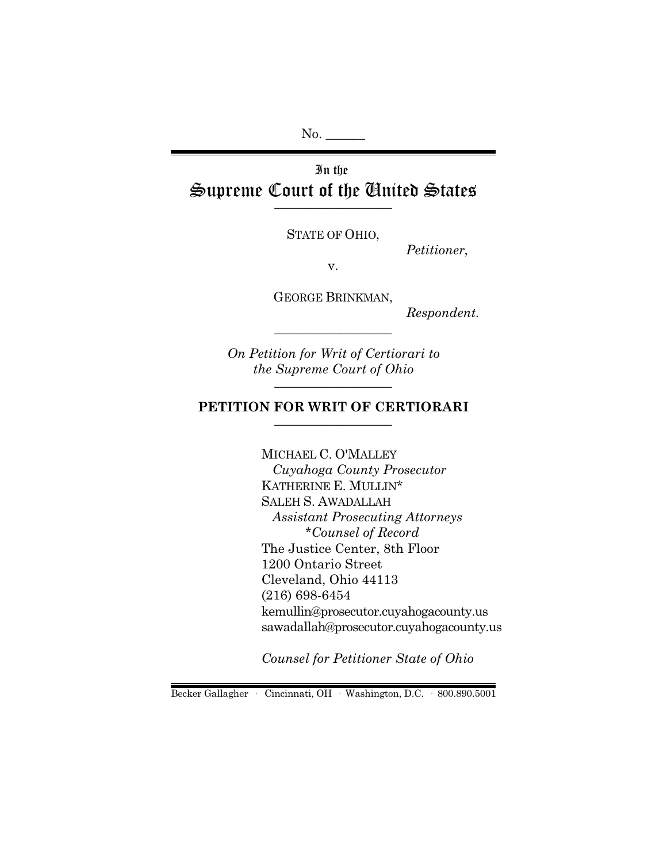No.

### In the Supreme Court of the United States  $\overline{\phantom{a}}$  , where  $\overline{\phantom{a}}$

STATE OF OHIO,

*Petitioner*,

v.

GEORGE BRINKMAN,

\_\_\_\_\_\_\_\_\_\_\_\_\_\_\_\_\_\_

*Respondent.*

*On Petition for Writ of Certiorari to the Supreme Court of Ohio* \_\_\_\_\_\_\_\_\_\_\_\_\_\_\_\_\_\_

#### **PETITION FOR WRIT OF CERTIORARI** \_\_\_\_\_\_\_\_\_\_\_\_\_\_\_\_\_\_

MICHAEL C. O'MALLEY  *Cuyahoga County Prosecutor* KATHERINE E. MULLIN\* SALEH S. AWADALLAH  *Assistant Prosecuting Attorneys \*Counsel of Record*  The Justice Center, 8th Floor 1200 Ontario Street Cleveland, Ohio 44113 (216) 698-6454 kemullin@prosecutor.cuyahogacounty.us sawadallah@prosecutor.cuyahogacounty.us

*Counsel for Petitioner State of Ohio*

Becker Gallagher · Cincinnati, OH · Washington, D.C. · 800.890.5001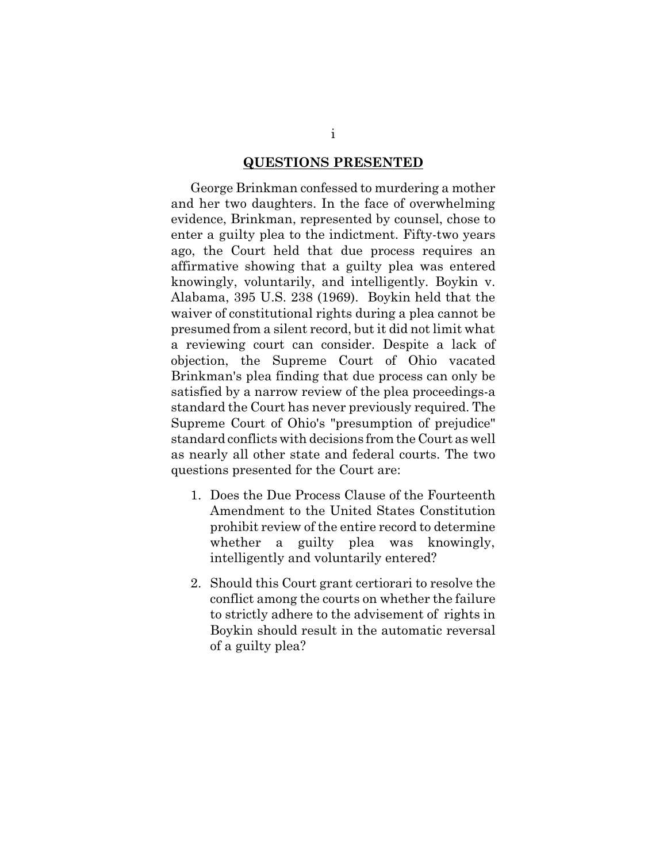#### **QUESTIONS PRESENTED**

George Brinkman confessed to murdering a mother and her two daughters. In the face of overwhelming evidence, Brinkman, represented by counsel, chose to enter a guilty plea to the indictment. Fifty-two years ago, the Court held that due process requires an affirmative showing that a guilty plea was entered knowingly, voluntarily, and intelligently. Boykin v. Alabama, 395 U.S. 238 (1969). Boykin held that the waiver of constitutional rights during a plea cannot be presumed from a silent record, but it did not limit what a reviewing court can consider. Despite a lack of objection, the Supreme Court of Ohio vacated Brinkman's plea finding that due process can only be satisfied by a narrow review of the plea proceedings-a standard the Court has never previously required. The Supreme Court of Ohio's "presumption of prejudice" standard conflicts with decisions from the Court as well as nearly all other state and federal courts. The two questions presented for the Court are:

- 1. Does the Due Process Clause of the Fourteenth Amendment to the United States Constitution prohibit review of the entire record to determine whether a guilty plea was knowingly, intelligently and voluntarily entered?
- 2. Should this Court grant certiorari to resolve the conflict among the courts on whether the failure to strictly adhere to the advisement of rights in Boykin should result in the automatic reversal of a guilty plea?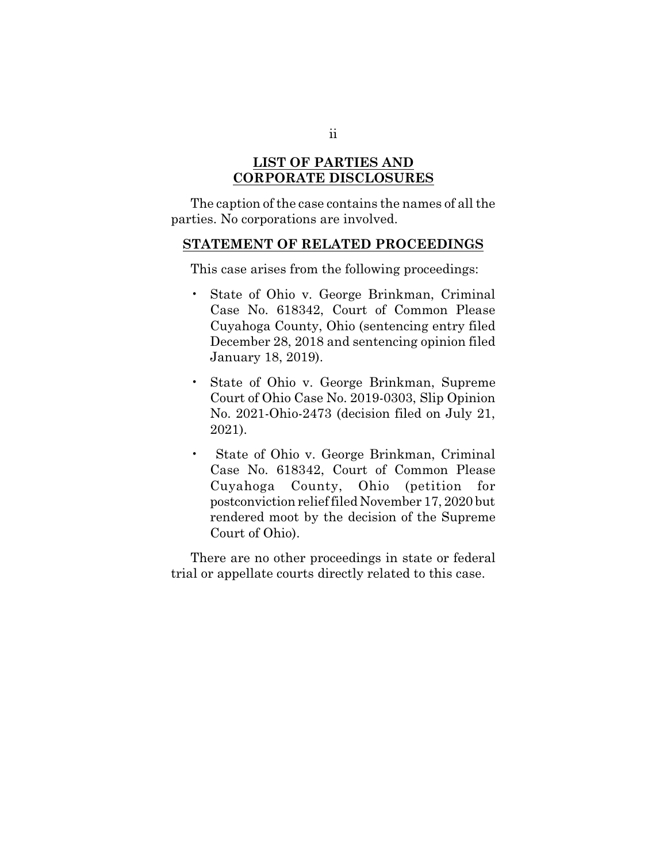### **LIST OF PARTIES AND CORPORATE DISCLOSURES**

The caption of the case contains the names of all the parties. No corporations are involved.

#### **STATEMENT OF RELATED PROCEEDINGS**

This case arises from the following proceedings:

- State of Ohio v. George Brinkman, Criminal Case No. 618342, Court of Common Please Cuyahoga County, Ohio (sentencing entry filed December 28, 2018 and sentencing opinion filed January 18, 2019).
- State of Ohio v. George Brinkman, Supreme Court of Ohio Case No. 2019-0303, Slip Opinion No. 2021-Ohio-2473 (decision filed on July 21, 2021).
- State of Ohio v. George Brinkman, Criminal Case No. 618342, Court of Common Please Cuyahoga County, Ohio (petition for postconviction relief filed November 17, 2020 but rendered moot by the decision of the Supreme Court of Ohio).

There are no other proceedings in state or federal trial or appellate courts directly related to this case.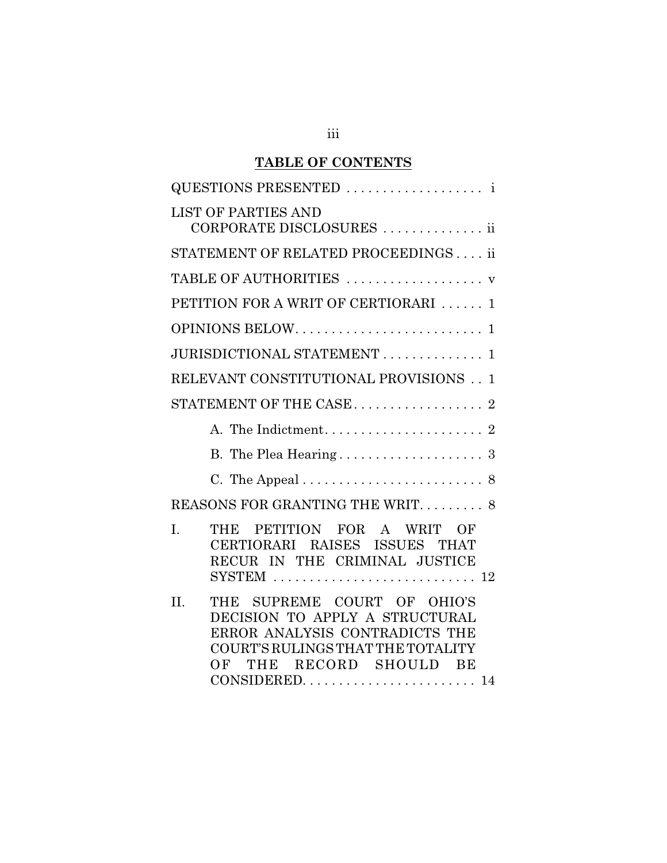## **TABLE OF CONTENTS**

| QUESTIONS PRESENTED                                                                                                                                                                            |
|------------------------------------------------------------------------------------------------------------------------------------------------------------------------------------------------|
| <b>LIST OF PARTIES AND</b><br>CORPORATE DISCLOSURES  ii                                                                                                                                        |
| STATEMENT OF RELATED PROCEEDINGS ii                                                                                                                                                            |
| TABLE OF AUTHORITIES  v                                                                                                                                                                        |
| PETITION FOR A WRIT OF CERTIORARI  1                                                                                                                                                           |
|                                                                                                                                                                                                |
| JURISDICTIONAL STATEMENT  1                                                                                                                                                                    |
| RELEVANT CONSTITUTIONAL PROVISIONS 1                                                                                                                                                           |
| STATEMENT OF THE CASE  2                                                                                                                                                                       |
|                                                                                                                                                                                                |
|                                                                                                                                                                                                |
|                                                                                                                                                                                                |
| REASONS FOR GRANTING THE WRIT. 8                                                                                                                                                               |
| THE PETITION FOR A WRIT OF<br>L.<br>CERTIORARI RAISES ISSUES THAT<br>RECUR IN THE CRIMINAL JUSTICE<br>SYSTEM $\ldots \ldots \ldots \ldots \ldots \ldots \ldots \ldots \ldots 12$               |
| SUPREME COURT OF OHIO'S<br>$\Pi$ .<br>THE<br>DECISION TO APPLY A STRUCTURAL<br>ERROR ANALYSIS CONTRADICTS THE<br>COURT'S RULINGS THAT THE TOTALITY<br>OF THE RECORD SHOULD BE<br>CONSIDERED 14 |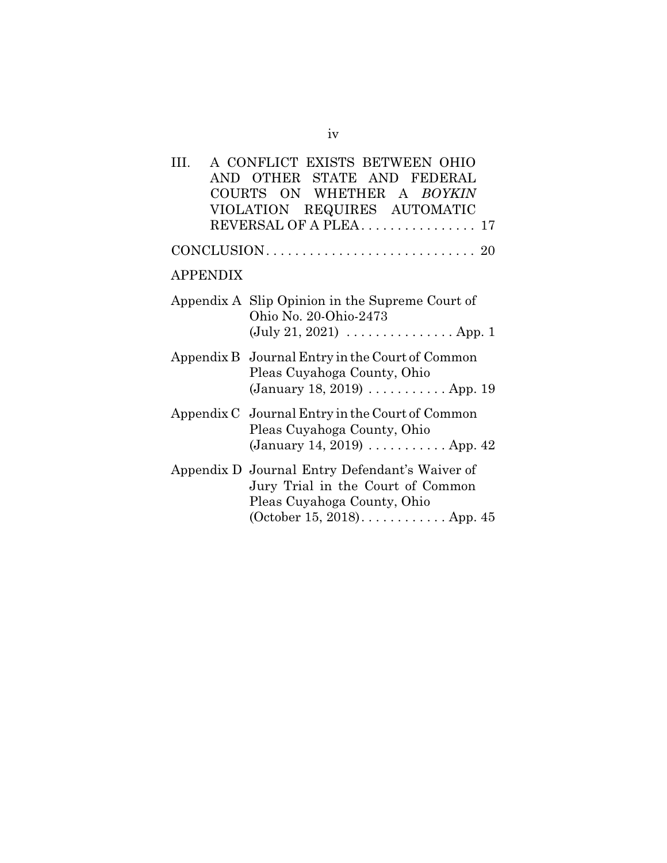| HI.             | A CONFLICT EXISTS BETWEEN OHIO<br>AND OTHER STATE AND FEDERAL<br>COURTS ON WHETHER A BOYKIN<br>VIOLATION REQUIRES AUTOMATIC<br>REVERSAL OF A PLEA 17 |
|-----------------|------------------------------------------------------------------------------------------------------------------------------------------------------|
|                 |                                                                                                                                                      |
| <b>APPENDIX</b> |                                                                                                                                                      |
|                 | Appendix A Slip Opinion in the Supreme Court of<br>Ohio No. 20-Ohio-2473<br>$(\text{July } 21, 2021) \dots \dots \dots \dots \dots \text{ App. } 1$  |
|                 | Appendix B Journal Entry in the Court of Common<br>Pleas Cuyahoga County, Ohio<br>(January 18, 2019) $\dots \dots \dots$ . App. 19                   |
|                 | Appendix C Journal Entry in the Court of Common<br>Pleas Cuyahoga County, Ohio<br>(January 14, 2019) $\dots \dots \dots$ . App. 42                   |
|                 | Appendix D Journal Entry Defendant's Waiver of<br>Jury Trial in the Court of Common<br>Pleas Cuyahoga County, Ohio<br>(October 15, 2018) App. 45     |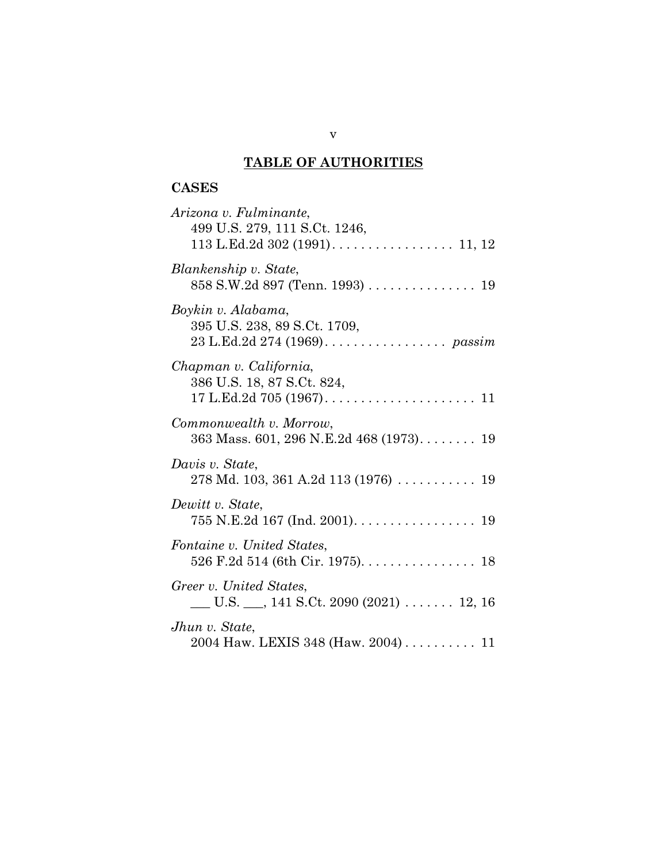# **TABLE OF AUTHORITIES**

### **CASES**

| Arizona v. Fulminante,<br>499 U.S. 279, 111 S.Ct. 1246,<br>113 L.Ed.2d 302 (1991). $\ldots$ . 11, 12                  |
|-----------------------------------------------------------------------------------------------------------------------|
| Blankenship v. State,<br>858 S.W.2d 897 (Tenn. 1993)  19                                                              |
| Boykin v. Alabama,<br>395 U.S. 238, 89 S.Ct. 1709,                                                                    |
| Chapman v. California,<br>386 U.S. 18, 87 S.Ct. 824,                                                                  |
| Commonwealth v. Morrow,<br>363 Mass. 601, 296 N.E.2d 468 (1973) 19                                                    |
| Davis v. State,                                                                                                       |
| Dewitt v. State,<br>755 N.E.2d 167 (Ind. 2001). 19                                                                    |
| Fontaine v. United States,<br>526 F.2d 514 (6th Cir. 1975). $\dots \dots \dots \dots \dots \dots$ 18                  |
| Greer v. United States,<br>$\underline{\hspace{1cm}}$ U.S. $\underline{\hspace{1cm}}$ , 141 S.Ct. 2090 (2021)  12, 16 |
| Jhun v. State,<br>2004 Haw. LEXIS 348 (Haw. 2004) 11                                                                  |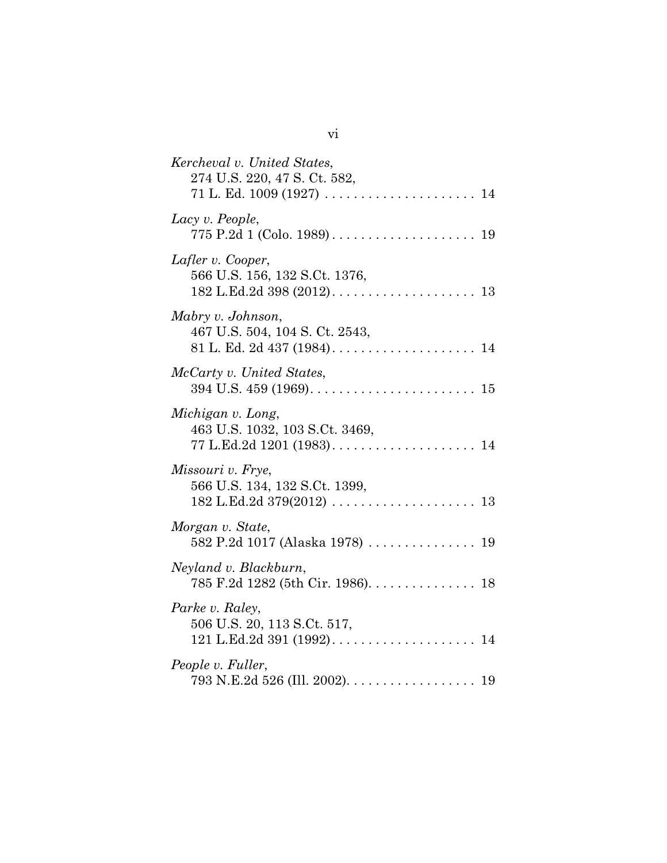| Kercheval v. United States,<br>274 U.S. 220, 47 S. Ct. 582, |
|-------------------------------------------------------------|
| Lacy v. People,                                             |
| Lafler v. Cooper,<br>566 U.S. 156, 132 S.Ct. 1376,          |
| Mabry v. Johnson,<br>467 U.S. 504, 104 S. Ct. 2543,         |
| McCarty v. United States,                                   |
| Michigan v. Long,<br>463 U.S. 1032, 103 S.Ct. 3469,         |
| Missouri v. Frye,<br>566 U.S. 134, 132 S.Ct. 1399,          |
| Morgan v. State,<br>582 P.2d 1017 (Alaska 1978)  19         |
| Neyland v. Blackburn,<br>785 F.2d 1282 (5th Cir. 1986). 18  |
| Parke v. Raley,<br>506 U.S. 20, 113 S.Ct. 517,              |
| People v. Fuller,                                           |

vi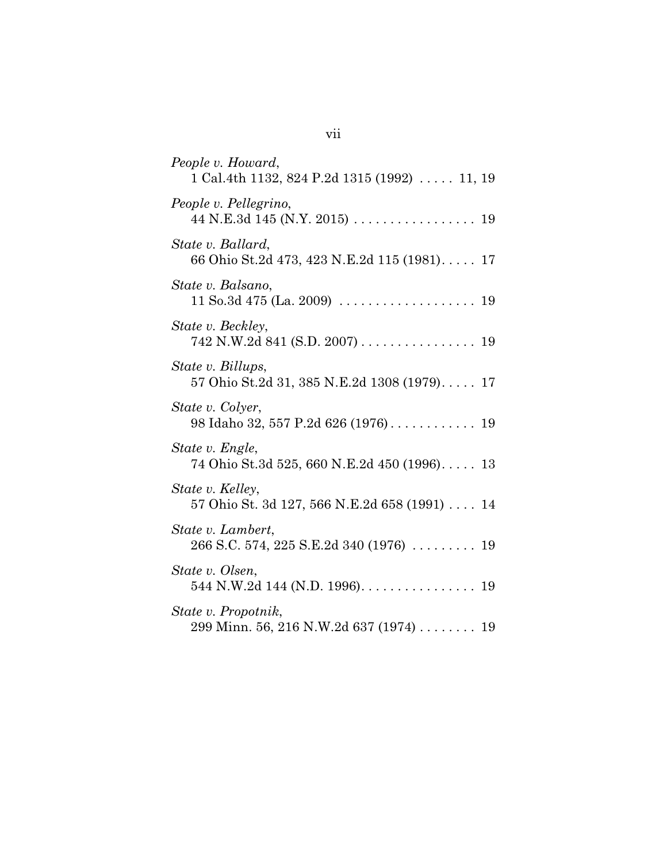| People v. Howard,<br>1 Cal.4th 1132, 824 P.2d 1315 (1992)  11, 19                             |
|-----------------------------------------------------------------------------------------------|
| People v. Pellegrino,<br>44 N.E.3d 145 (N.Y. 2015) 19                                         |
| State v. Ballard,<br>66 Ohio St.2d 473, 423 N.E.2d 115 (1981). 17                             |
| State v. Balsano,                                                                             |
| State v. Beckley,<br>$742$ N.W.2d 841 (S.D. 2007) 19                                          |
| State v. Billups,<br>57 Ohio St.2d 31, 385 N.E.2d 1308 (1979) 17                              |
| State v. Colyer,<br>98 Idaho 32, 557 P.2d 626 (1976) 19                                       |
| State v. Engle,<br>74 Ohio St.3d 525, 660 N.E.2d 450 (1996) 13                                |
| State v. Kelley,<br>57 Ohio St. 3d 127, 566 N.E.2d 658 (1991)  14                             |
| State v. Lambert,<br>266 S.C. 574, 225 S.E.2d 340 (1976)  19                                  |
| State v. Olsen,<br>544 N.W.2d 144 (N.D. 1996). $\dots \dots \dots \dots \dots \dots \dots$ 19 |
| State v. Propotnik,<br>299 Minn. 56, 216 N.W.2d 637 (1974)  19                                |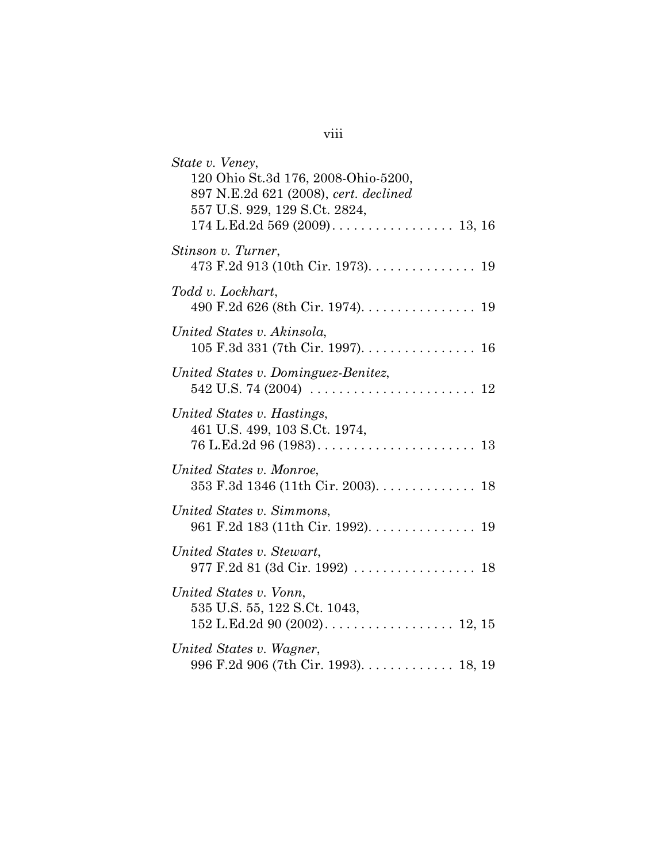| State v. Veney,<br>120 Ohio St.3d 176, 2008-Ohio-5200,<br>897 N.E.2d 621 (2008), cert. declined<br>557 U.S. 929, 129 S.Ct. 2824, |
|----------------------------------------------------------------------------------------------------------------------------------|
| Stinson v. Turner,<br>473 F.2d 913 (10th Cir. 1973). 19                                                                          |
| Todd v. Lockhart,<br>490 F.2d 626 (8th Cir. 1974). 19                                                                            |
| United States v. Akinsola,<br>105 F.3d 331 (7th Cir. 1997). 16                                                                   |
| United States v. Dominguez-Benitez,                                                                                              |
| United States v. Hastings,<br>461 U.S. 499, 103 S.Ct. 1974,                                                                      |
| United States v. Monroe,<br>353 F.3d 1346 (11th Cir. 2003). 18                                                                   |
| United States v. Simmons,<br>961 F.2d 183 (11th Cir. 1992). 19                                                                   |
| United States v. Stewart,<br>977 F.2d 81 (3d Cir. 1992)  18                                                                      |
| United States v. Vonn,<br>535 U.S. 55, 122 S.Ct. 1043,                                                                           |
| United States v. Wagner,<br>996 F.2d 906 (7th Cir. 1993). 18, 19                                                                 |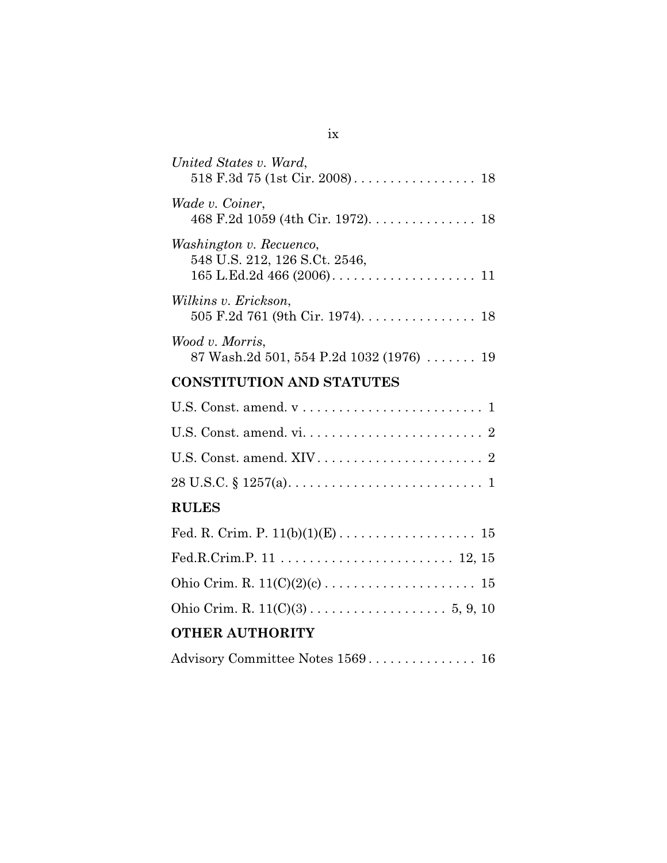| United States v. Ward,                                                                          |
|-------------------------------------------------------------------------------------------------|
| Wade v. Coiner,<br>468 F.2d 1059 (4th Cir. 1972). 18                                            |
| Washington v. Recuenco,<br>548 U.S. 212, 126 S.Ct. 2546,                                        |
| Wilkins v. Erickson,<br>505 F.2d 761 (9th Cir. 1974). $\dots \dots \dots \dots \dots \dots$ 18  |
| Wood v. Morris,<br>87 Wash.2d 501, 554 P.2d 1032 (1976)  19                                     |
| <b>CONSTITUTION AND STATUTES</b>                                                                |
|                                                                                                 |
|                                                                                                 |
|                                                                                                 |
| $28 \text{ U.S.C.} \S 1257(a) \ldots \ldots \ldots \ldots \ldots \ldots \ldots \ldots \ldots 1$ |
| <b>RULES</b>                                                                                    |
|                                                                                                 |
|                                                                                                 |
|                                                                                                 |
|                                                                                                 |
| <b>OTHER AUTHORITY</b>                                                                          |
| Advisory Committee Notes 1569 16                                                                |

### ix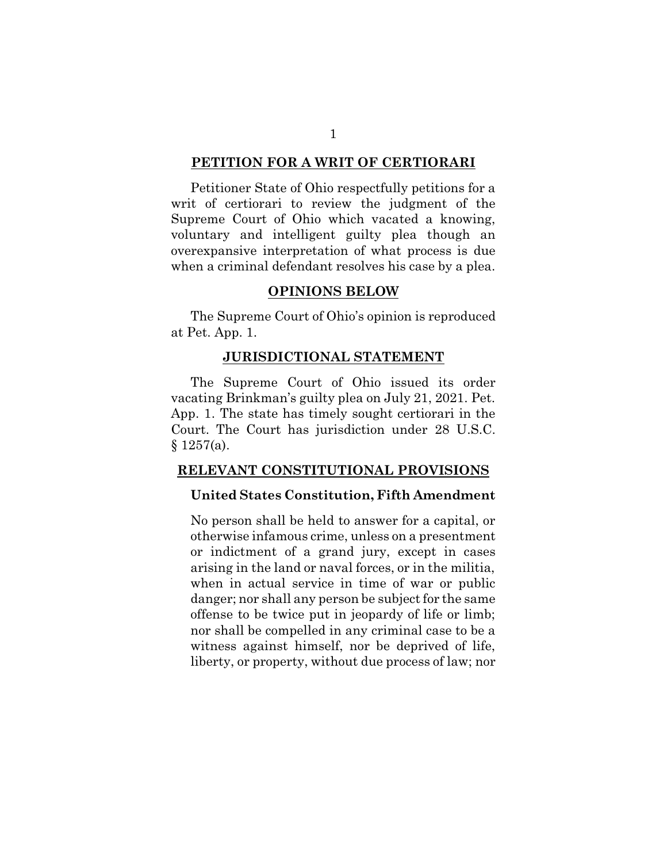#### **PETITION FOR A WRIT OF CERTIORARI**

Petitioner State of Ohio respectfully petitions for a writ of certiorari to review the judgment of the Supreme Court of Ohio which vacated a knowing, voluntary and intelligent guilty plea though an overexpansive interpretation of what process is due when a criminal defendant resolves his case by a plea.

#### **OPINIONS BELOW**

The Supreme Court of Ohio's opinion is reproduced at Pet. App. 1.

#### **JURISDICTIONAL STATEMENT**

The Supreme Court of Ohio issued its order vacating Brinkman's guilty plea on July 21, 2021. Pet. App. 1. The state has timely sought certiorari in the Court. The Court has jurisdiction under 28 U.S.C.  $$1257(a).$ 

#### **RELEVANT CONSTITUTIONAL PROVISIONS**

#### **United States Constitution, Fifth Amendment**

No person shall be held to answer for a capital, or otherwise infamous crime, unless on a presentment or indictment of a grand jury, except in cases arising in the land or naval forces, or in the militia, when in actual service in time of war or public danger; nor shall any person be subject for the same offense to be twice put in jeopardy of life or limb; nor shall be compelled in any criminal case to be a witness against himself, nor be deprived of life, liberty, or property, without due process of law; nor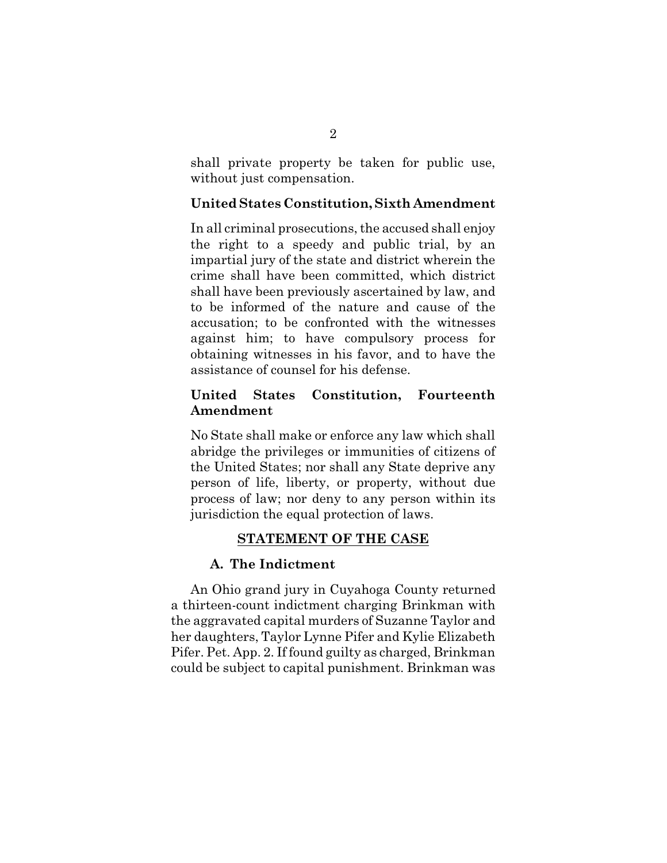shall private property be taken for public use, without just compensation.

#### **United States Constitution, Sixth Amendment**

In all criminal prosecutions, the accused shall enjoy the right to a speedy and public trial, by an impartial jury of the state and district wherein the crime shall have been committed, which district shall have been previously ascertained by law, and to be informed of the nature and cause of the accusation; to be confronted with the witnesses against him; to have compulsory process for obtaining witnesses in his favor, and to have the assistance of counsel for his defense.

### **United States Constitution, Fourteenth Amendment**

No State shall make or enforce any law which shall abridge the privileges or immunities of citizens of the United States; nor shall any State deprive any person of life, liberty, or property, without due process of law; nor deny to any person within its jurisdiction the equal protection of laws.

#### **STATEMENT OF THE CASE**

#### **A. The Indictment**

An Ohio grand jury in Cuyahoga County returned a thirteen-count indictment charging Brinkman with the aggravated capital murders of Suzanne Taylor and her daughters, Taylor Lynne Pifer and Kylie Elizabeth Pifer. Pet. App. 2. If found guilty as charged, Brinkman could be subject to capital punishment. Brinkman was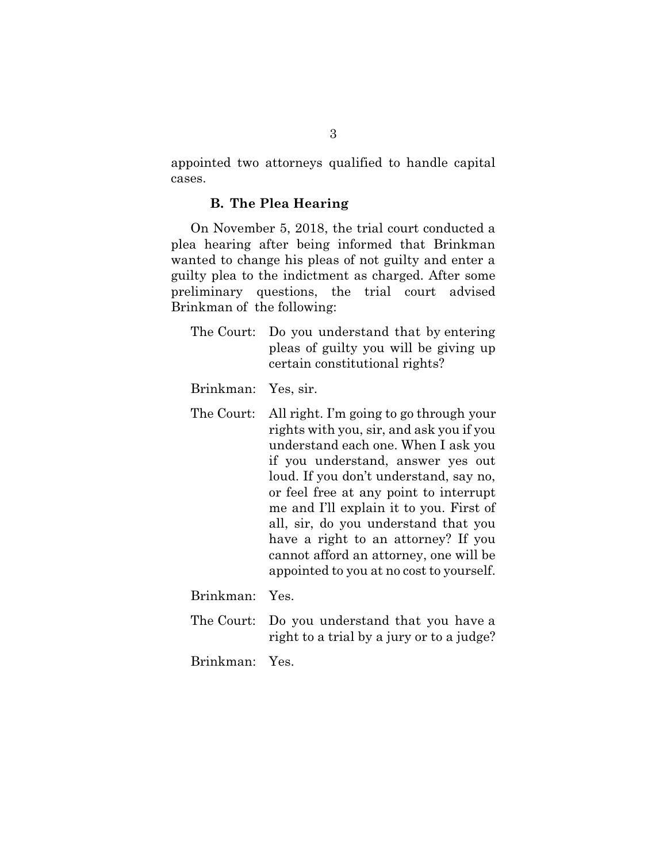appointed two attorneys qualified to handle capital cases.

#### **B. The Plea Hearing**

On November 5, 2018, the trial court conducted a plea hearing after being informed that Brinkman wanted to change his pleas of not guilty and enter a guilty plea to the indictment as charged. After some preliminary questions, the trial court advised Brinkman of the following:

- The Court: Do you understand that by entering pleas of guilty you will be giving up certain constitutional rights?
- Brinkman: Yes, sir.
- The Court: All right. I'm going to go through your rights with you, sir, and ask you if you understand each one. When I ask you if you understand, answer yes out loud. If you don't understand, say no, or feel free at any point to interrupt me and I'll explain it to you. First of all, sir, do you understand that you have a right to an attorney? If you cannot afford an attorney, one will be appointed to you at no cost to yourself.
- Brinkman: Yes.
- The Court: Do you understand that you have a right to a trial by a jury or to a judge?
- Brinkman: Yes.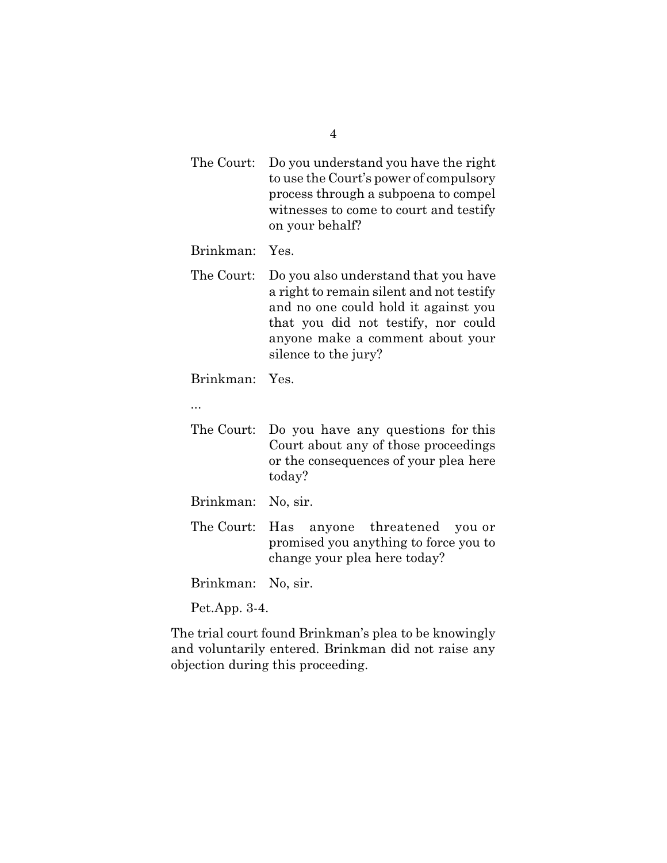The Court: Do you understand you have the right to use the Court's power of compulsory process through a subpoena to compel witnesses to come to court and testify on your behalf?

#### Brinkman: Yes.

- The Court: Do you also understand that you have a right to remain silent and not testify and no one could hold it against you that you did not testify, nor could anyone make a comment about your silence to the jury?
- Brinkman: Yes.

...

- The Court: Do you have any questions for this Court about any of those proceedings or the consequences of your plea here today?
- Brinkman: No, sir.
- The Court: Has anyone threatened you or promised you anything to force you to change your plea here today?

Brinkman: No, sir.

Pet.App. 3-4.

The trial court found Brinkman's plea to be knowingly and voluntarily entered. Brinkman did not raise any objection during this proceeding.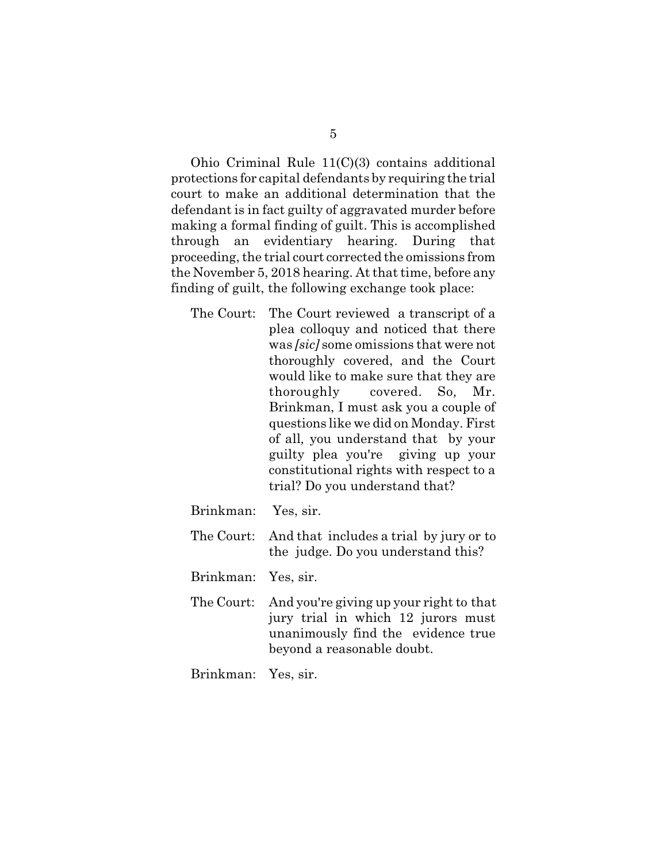Ohio Criminal Rule 11(C)(3) contains additional protections for capital defendants by requiring the trial court to make an additional determination that the defendant is in fact guilty of aggravated murder before making a formal finding of guilt. This is accomplished through an evidentiary hearing. During that proceeding, the trial court corrected the omissions from the November 5, 2018 hearing. At that time, before any finding of guilt, the following exchange took place:

- The Court: The Court reviewed a transcript of a plea colloquy and noticed that there was *[sic]* some omissions that were not thoroughly covered, and the Court would like to make sure that they are thoroughly covered. So*,* Mr. Brinkman, I must ask you a couple of questions like we did on Monday. First of all*,* you understand that by your guilty plea you're giving up your constitutional rights with respect to a trial? Do you understand that?
- Brinkman: Yes, sir.
- The Court: And that includes a trial by jury or to the judge. Do you understand this?
- Brinkman: Yes, sir.
- The Court: And you're giving up your right to that jury trial in which 12 jurors must unanimously find the evidence true beyond a reasonable doubt.
- Brinkman: Yes, sir.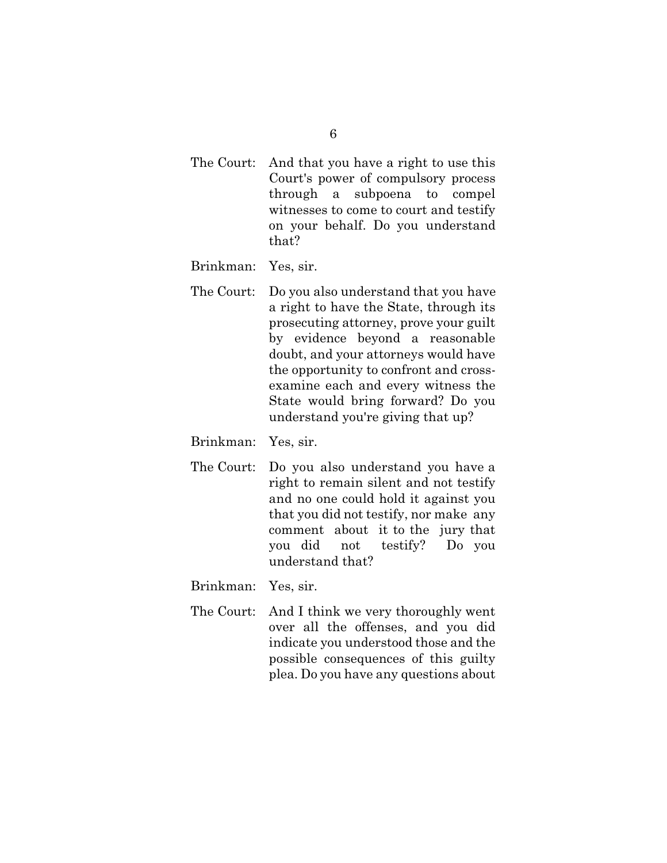- The Court: And that you have a right to use this Court's power of compulsory process through a subpoena to compel witnesses to come to court and testify on your behalf. Do you understand that?
- Brinkman: Yes, sir.
- The Court: Do you also understand that you have a right to have the State, through its prosecuting attorney, prove your guilt by evidence beyond a reasonable doubt, and your attorneys would have the opportunity to confront and crossexamine each and every witness the State would bring forward? Do you understand you're giving that up?
- Brinkman: Yes, sir.
- The Court: Do you also understand you have a right to remain silent and not testify and no one could hold it against you that you did not testify, nor make any comment about it to the jury that you did not testify? Do you understand that?
- Brinkman: Yes, sir.
- The Court: And I think we very thoroughly went over all the offenses, and you did indicate you understood those and the possible consequences of this guilty plea. Do you have any questions about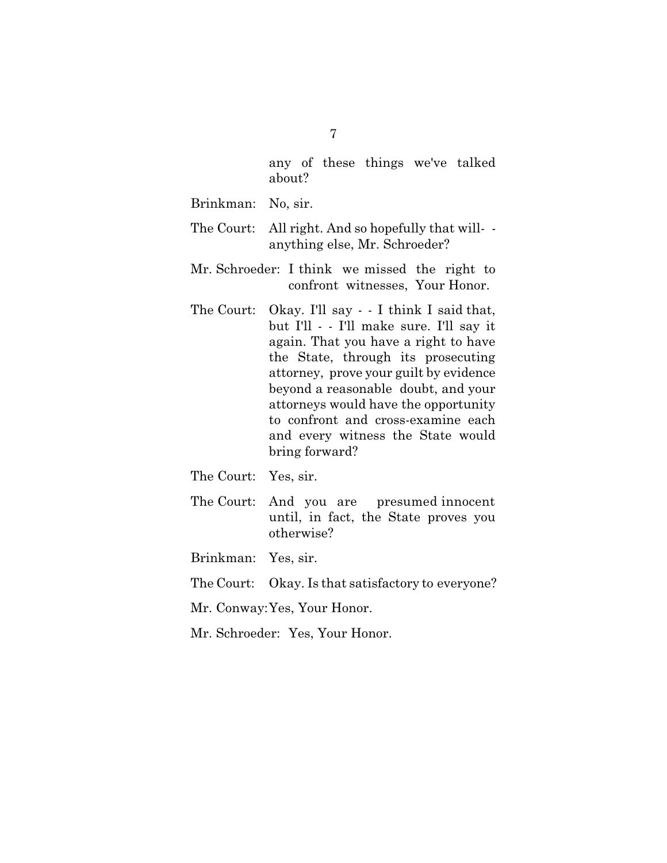any of these things we've talked about?

- Brinkman: No, sir.
- The Court: All right. And so hopefully that will- anything else, Mr. Schroeder?
- Mr. Schroeder: I think we missed the right to confront witnesses, Your Honor.
- The Court: Okay. I'll say - I think I said that, but I'll - - I'll make sure. I'll say it again. That you have a right to have the State, through its prosecuting attorney, prove your guilt by evidence beyond a reasonable doubt, and your attorneys would have the opportunity to confront and cross-examine each and every witness the State would bring forward?
- The Court: Yes, sir.
- The Court: And you are presumed innocent until, in fact, the State proves you otherwise?
- Brinkman: Yes, sir.
- The Court: Okay. Is that satisfactory to everyone?
- Mr. Conway:Yes, Your Honor.
- Mr. Schroeder: Yes, Your Honor.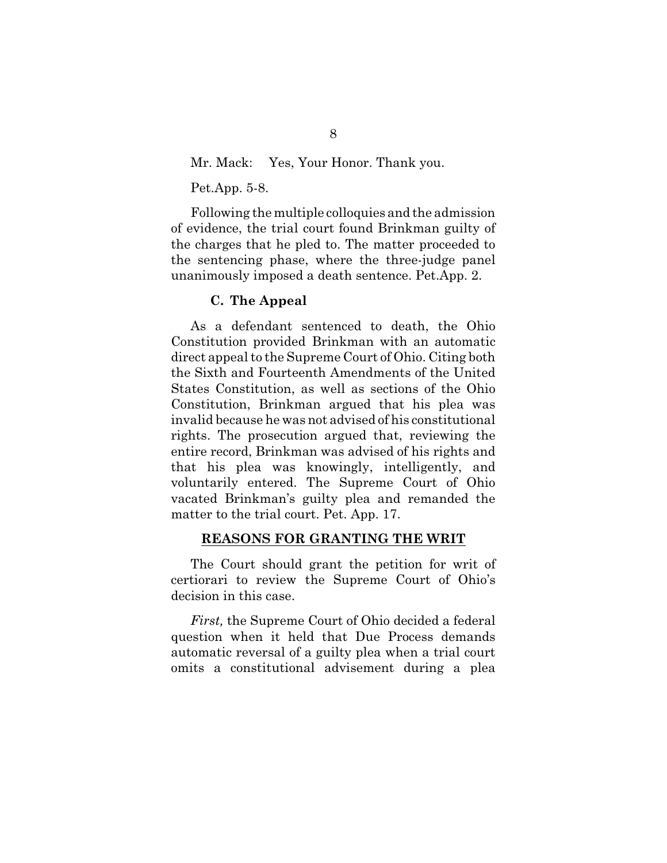Mr. Mack: Yes, Your Honor. Thank you.

Pet.App. 5-8.

Following the multiple colloquies and the admission of evidence, the trial court found Brinkman guilty of the charges that he pled to. The matter proceeded to the sentencing phase, where the three-judge panel unanimously imposed a death sentence. Pet.App. 2.

#### **C. The Appeal**

As a defendant sentenced to death, the Ohio Constitution provided Brinkman with an automatic direct appeal to the Supreme Court of Ohio. Citing both the Sixth and Fourteenth Amendments of the United States Constitution, as well as sections of the Ohio Constitution, Brinkman argued that his plea was invalid because he was not advised of his constitutional rights. The prosecution argued that, reviewing the entire record, Brinkman was advised of his rights and that his plea was knowingly, intelligently, and voluntarily entered. The Supreme Court of Ohio vacated Brinkman's guilty plea and remanded the matter to the trial court. Pet. App. 17.

#### **REASONS FOR GRANTING THE WRIT**

The Court should grant the petition for writ of certiorari to review the Supreme Court of Ohio's decision in this case.

*First,* the Supreme Court of Ohio decided a federal question when it held that Due Process demands automatic reversal of a guilty plea when a trial court omits a constitutional advisement during a plea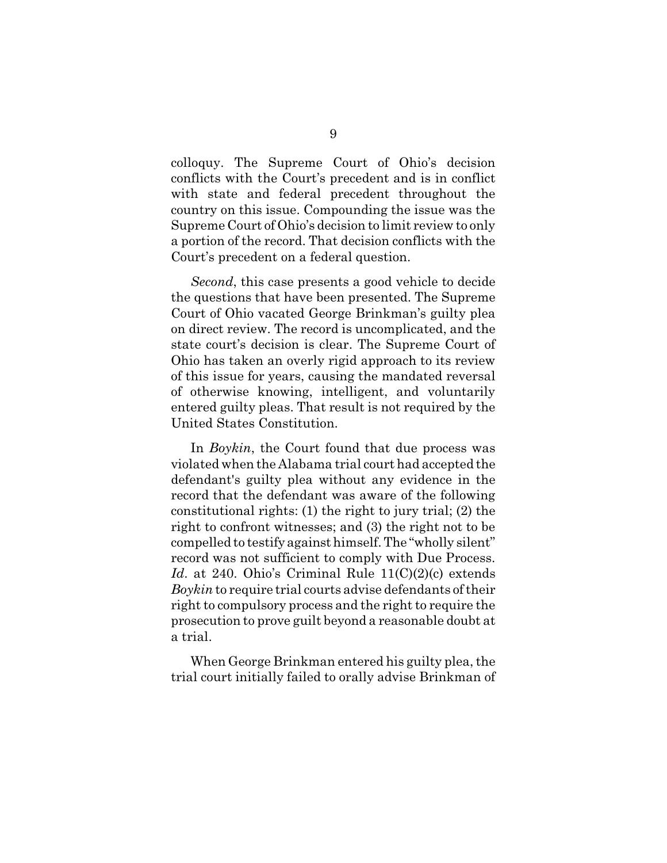colloquy. The Supreme Court of Ohio's decision conflicts with the Court's precedent and is in conflict with state and federal precedent throughout the country on this issue. Compounding the issue was the Supreme Court of Ohio's decision to limit review to only a portion of the record. That decision conflicts with the Court's precedent on a federal question.

*Second*, this case presents a good vehicle to decide the questions that have been presented. The Supreme Court of Ohio vacated George Brinkman's guilty plea on direct review. The record is uncomplicated, and the state court's decision is clear. The Supreme Court of Ohio has taken an overly rigid approach to its review of this issue for years, causing the mandated reversal of otherwise knowing, intelligent, and voluntarily entered guilty pleas. That result is not required by the United States Constitution.

In *Boykin*, the Court found that due process was violated when the Alabama trial court had accepted the defendant's guilty plea without any evidence in the record that the defendant was aware of the following constitutional rights: (1) the right to jury trial; (2) the right to confront witnesses; and (3) the right not to be compelled to testify against himself. The "wholly silent" record was not sufficient to comply with Due Process. *Id*. at 240. Ohio's Criminal Rule 11(C)(2)(c) extends *Boykin* to require trial courts advise defendants of their right to compulsory process and the right to require the prosecution to prove guilt beyond a reasonable doubt at a trial.

When George Brinkman entered his guilty plea, the trial court initially failed to orally advise Brinkman of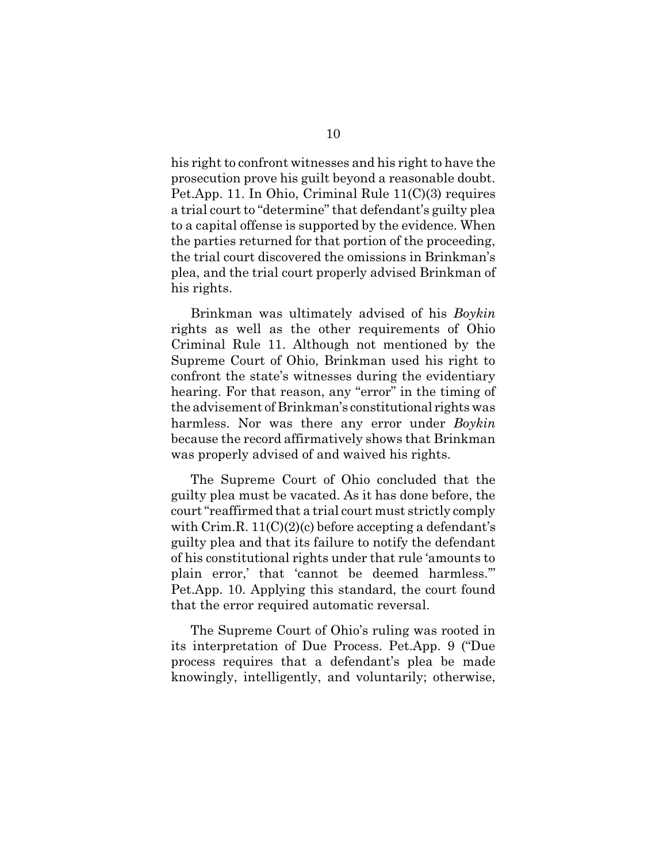his right to confront witnesses and his right to have the prosecution prove his guilt beyond a reasonable doubt. Pet.App. 11. In Ohio, Criminal Rule 11(C)(3) requires a trial court to "determine" that defendant's guilty plea to a capital offense is supported by the evidence. When the parties returned for that portion of the proceeding, the trial court discovered the omissions in Brinkman's plea, and the trial court properly advised Brinkman of his rights.

Brinkman was ultimately advised of his *Boykin* rights as well as the other requirements of Ohio Criminal Rule 11. Although not mentioned by the Supreme Court of Ohio, Brinkman used his right to confront the state's witnesses during the evidentiary hearing. For that reason, any "error" in the timing of the advisement of Brinkman's constitutional rights was harmless. Nor was there any error under *Boykin* because the record affirmatively shows that Brinkman was properly advised of and waived his rights.

The Supreme Court of Ohio concluded that the guilty plea must be vacated. As it has done before, the court "reaffirmed that a trial court must strictly comply with Crim.R.  $11(C)(2)(c)$  before accepting a defendant's guilty plea and that its failure to notify the defendant of his constitutional rights under that rule 'amounts to plain error,' that 'cannot be deemed harmless.'" Pet.App. 10. Applying this standard, the court found that the error required automatic reversal.

The Supreme Court of Ohio's ruling was rooted in its interpretation of Due Process. Pet.App. 9 ("Due process requires that a defendant's plea be made knowingly, intelligently, and voluntarily; otherwise,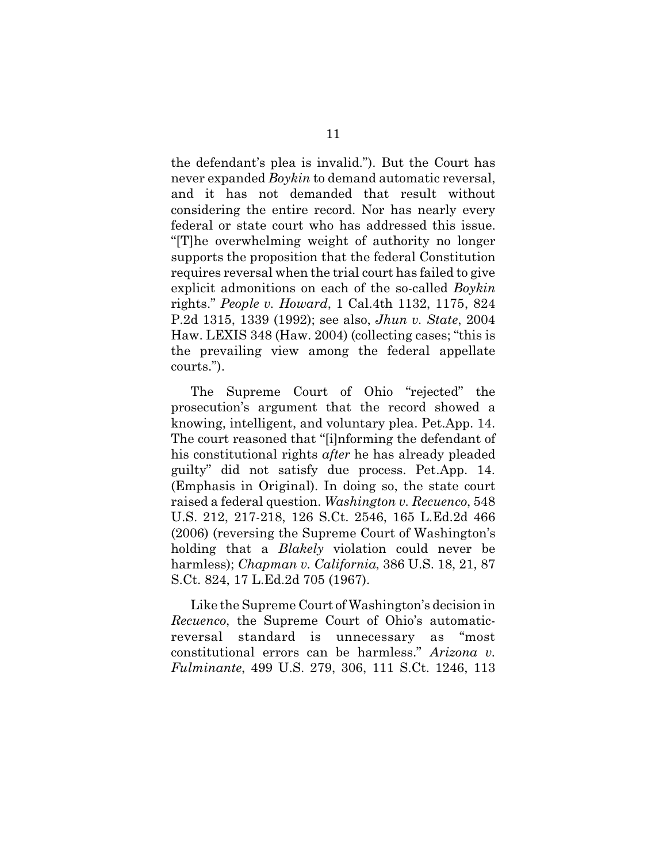the defendant's plea is invalid."). But the Court has never expanded *Boykin* to demand automatic reversal, and it has not demanded that result without considering the entire record. Nor has nearly every federal or state court who has addressed this issue. "[T]he overwhelming weight of authority no longer supports the proposition that the federal Constitution requires reversal when the trial court has failed to give explicit admonitions on each of the so-called *Boykin* rights." *People v. Howard*, 1 Cal.4th 1132, 1175, 824 P.2d 1315, 1339 (1992); see also, *Jhun v. State*, 2004 Haw. LEXIS 348 (Haw. 2004) (collecting cases; "this is the prevailing view among the federal appellate courts.").

The Supreme Court of Ohio "rejected" the prosecution's argument that the record showed a knowing, intelligent, and voluntary plea. Pet.App. 14. The court reasoned that "[i]nforming the defendant of his constitutional rights *after* he has already pleaded guilty" did not satisfy due process. Pet.App. 14. (Emphasis in Original). In doing so, the state court raised a federal question. *Washington v. Recuenco*, 548 U.S. 212, 217-218, 126 S.Ct. 2546, 165 L.Ed.2d 466 (2006) (reversing the Supreme Court of Washington's holding that a *Blakely* violation could never be harmless); *Chapman v. California*, 386 U.S. 18, 21, 87 S.Ct. 824, 17 L.Ed.2d 705 (1967).

Like the Supreme Court of Washington's decision in *Recuenco*, the Supreme Court of Ohio's automaticreversal standard is unnecessary as "most constitutional errors can be harmless." *Arizona v. Fulminante*, 499 U.S. 279, 306, 111 S.Ct. 1246, 113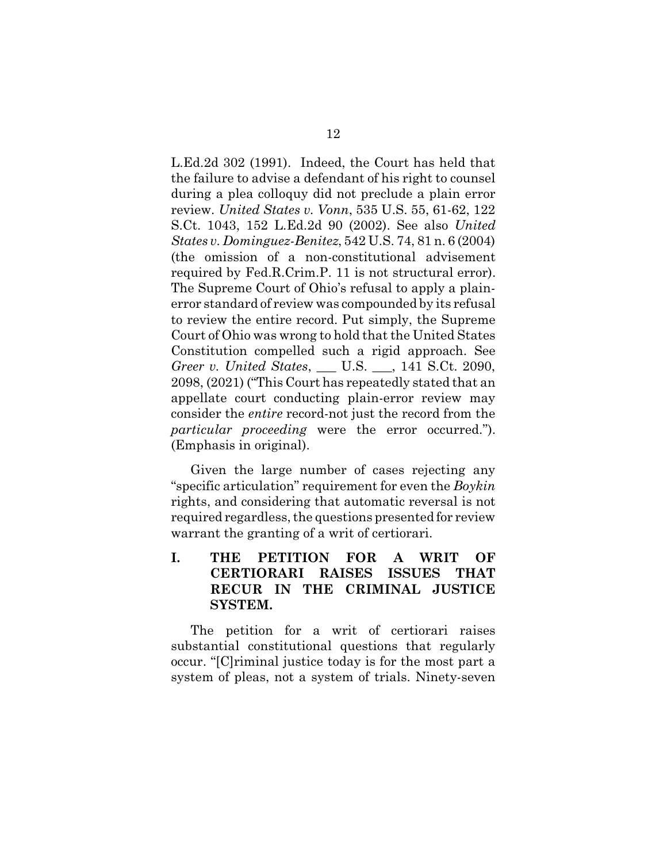L.Ed.2d 302 (1991). Indeed, the Court has held that the failure to advise a defendant of his right to counsel during a plea colloquy did not preclude a plain error review. *United States v. Vonn*, 535 U.S. 55, 61-62, 122 S.Ct. 1043, 152 L.Ed.2d 90 (2002). See also *United States v. Dominguez-Benitez*, 542 U.S. 74, 81 n. 6 (2004) (the omission of a non-constitutional advisement required by Fed.R.Crim.P. 11 is not structural error). The Supreme Court of Ohio's refusal to apply a plainerror standard of review was compounded by its refusal to review the entire record. Put simply, the Supreme Court of Ohio was wrong to hold that the United States Constitution compelled such a rigid approach. See *Greer v. United States*, \_\_\_ U.S. \_\_\_, 141 S.Ct. 2090, 2098, (2021) ("This Court has repeatedly stated that an appellate court conducting plain-error review may consider the *entire* record-not just the record from the *particular proceeding* were the error occurred."). (Emphasis in original).

Given the large number of cases rejecting any "specific articulation" requirement for even the *Boykin* rights, and considering that automatic reversal is not required regardless, the questions presented for review warrant the granting of a writ of certiorari.

### **I. THE PETITION FOR A WRIT OF CERTIORARI RAISES ISSUES THAT RECUR IN THE CRIMINAL JUSTICE SYSTEM.**

The petition for a writ of certiorari raises substantial constitutional questions that regularly occur. "[C]riminal justice today is for the most part a system of pleas, not a system of trials. Ninety-seven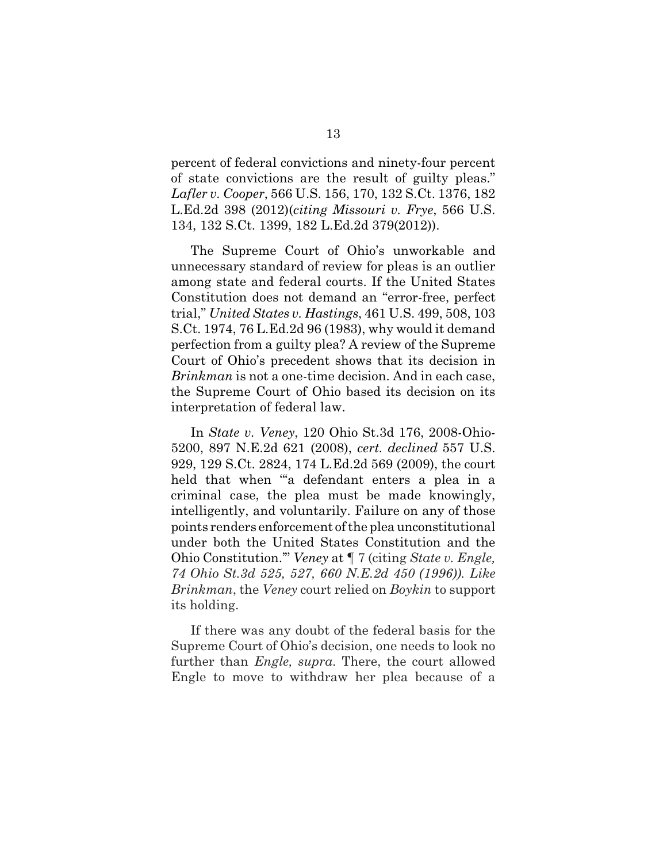percent of federal convictions and ninety-four percent of state convictions are the result of guilty pleas." *Lafler v. Cooper*, 566 U.S. 156, 170, 132 S.Ct. 1376, 182 L.Ed.2d 398 (2012)(*citing Missouri v. Frye*, 566 U.S. 134, 132 S.Ct. 1399, 182 L.Ed.2d 379(2012)).

The Supreme Court of Ohio's unworkable and unnecessary standard of review for pleas is an outlier among state and federal courts. If the United States Constitution does not demand an "error-free, perfect trial," *United States v. Hastings*, 461 U.S. 499, 508, 103 S.Ct. 1974, 76 L.Ed.2d 96 (1983), why would it demand perfection from a guilty plea? A review of the Supreme Court of Ohio's precedent shows that its decision in *Brinkman* is not a one-time decision. And in each case, the Supreme Court of Ohio based its decision on its interpretation of federal law.

In *State v. Veney*, 120 Ohio St.3d 176, 2008-Ohio-5200, 897 N.E.2d 621 (2008), *cert. declined* 557 U.S. 929, 129 S.Ct. 2824, 174 L.Ed.2d 569 (2009), the court held that when "'a defendant enters a plea in a criminal case, the plea must be made knowingly, intelligently, and voluntarily. Failure on any of those points renders enforcement of the plea unconstitutional under both the United States Constitution and the Ohio Constitution.'" *Veney* at ¶ 7 (citing *State v. Engle, 74 Ohio St.3d 525, 527, 660 N.E.2d 450 (1996)). Like Brinkman*, the *Veney* court relied on *Boykin* to support its holding.

If there was any doubt of the federal basis for the Supreme Court of Ohio's decision, one needs to look no further than *Engle, supra*. There, the court allowed Engle to move to withdraw her plea because of a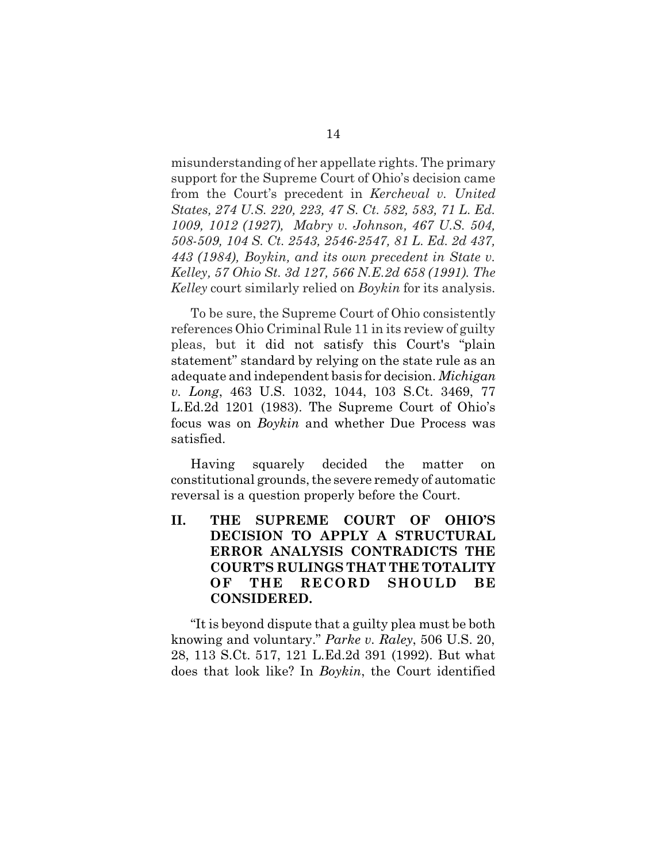misunderstanding of her appellate rights. The primary support for the Supreme Court of Ohio's decision came from the Court's precedent in *Kercheval v. United States, 274 U.S. 220, 223, 47 S. Ct. 582, 583, 71 L. Ed. 1009, 1012 (1927), Mabry v. Johnson, 467 U.S. 504, 508-509, 104 S. Ct. 2543, 2546-2547, 81 L. Ed. 2d 437, 443 (1984), Boykin, and its own precedent in State v. Kelley, 57 Ohio St. 3d 127, 566 N.E.2d 658 (1991). The Kelley* court similarly relied on *Boykin* for its analysis.

To be sure, the Supreme Court of Ohio consistently references Ohio Criminal Rule 11 in its review of guilty pleas, but it did not satisfy this Court's "plain statement" standard by relying on the state rule as an adequate and independent basis for decision. *Michigan v. Long*, 463 U.S. 1032, 1044, 103 S.Ct. 3469, 77 L.Ed.2d 1201 (1983). The Supreme Court of Ohio's focus was on *Boykin* and whether Due Process was satisfied.

Having squarely decided the matter on constitutional grounds, the severe remedy of automatic reversal is a question properly before the Court.

**II. THE SUPREME COURT OF OHIO'S DECISION TO APPLY A STRUCTURAL ERROR ANALYSIS CONTRADICTS THE COURT'S RULINGS THAT THE TOTALITY OF THE RECORD SHOULD BE CONSIDERED.** 

"It is beyond dispute that a guilty plea must be both knowing and voluntary." *Parke v. Raley*, 506 U.S. 20, 28, 113 S.Ct. 517, 121 L.Ed.2d 391 (1992). But what does that look like? In *Boykin*, the Court identified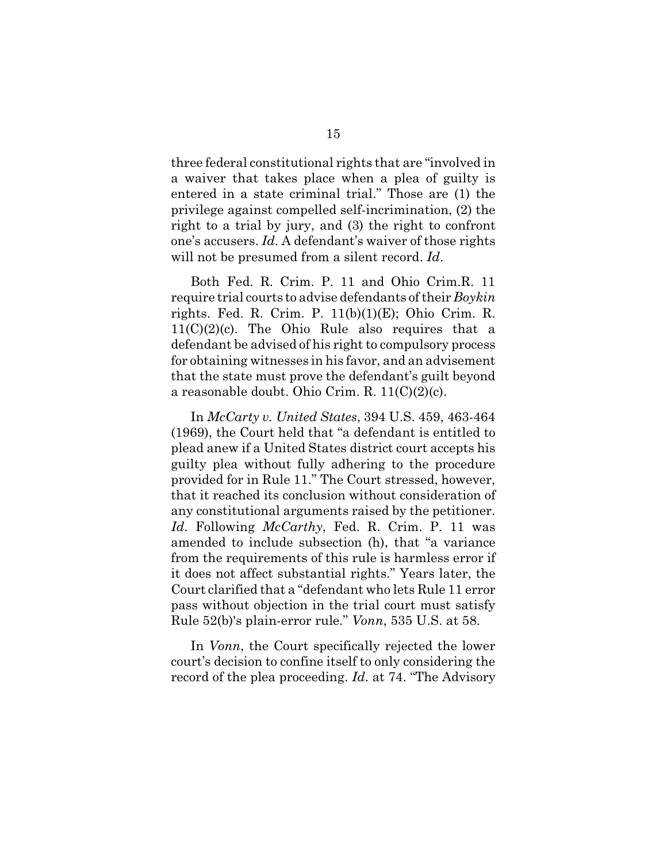three federal constitutional rights that are "involved in a waiver that takes place when a plea of guilty is entered in a state criminal trial." Those are (1) the privilege against compelled self-incrimination, (2) the right to a trial by jury, and (3) the right to confront one's accusers. *Id*. A defendant's waiver of those rights will not be presumed from a silent record. *Id*.

Both Fed. R. Crim. P. 11 and Ohio Crim.R. 11 require trial courts to advise defendants of their *Boykin* rights. Fed. R. Crim. P. 11(b)(1)(E); Ohio Crim. R.  $11(C)(2)(c)$ . The Ohio Rule also requires that a defendant be advised of his right to compulsory process for obtaining witnesses in his favor, and an advisement that the state must prove the defendant's guilt beyond a reasonable doubt. Ohio Crim. R. 11(C)(2)(c).

In *McCarty v. United States*, 394 U.S. 459, 463-464 (1969), the Court held that "a defendant is entitled to plead anew if a United States district court accepts his guilty plea without fully adhering to the procedure provided for in Rule 11." The Court stressed, however, that it reached its conclusion without consideration of any constitutional arguments raised by the petitioner. *Id*. Following *McCarthy*, Fed. R. Crim. P. 11 was amended to include subsection (h), that "a variance from the requirements of this rule is harmless error if it does not affect substantial rights." Years later, the Court clarified that a "defendant who lets Rule 11 error pass without objection in the trial court must satisfy Rule 52(b)'s plain-error rule." *Vonn*, 535 U.S. at 58.

In *Vonn*, the Court specifically rejected the lower court's decision to confine itself to only considering the record of the plea proceeding. *Id*. at 74. "The Advisory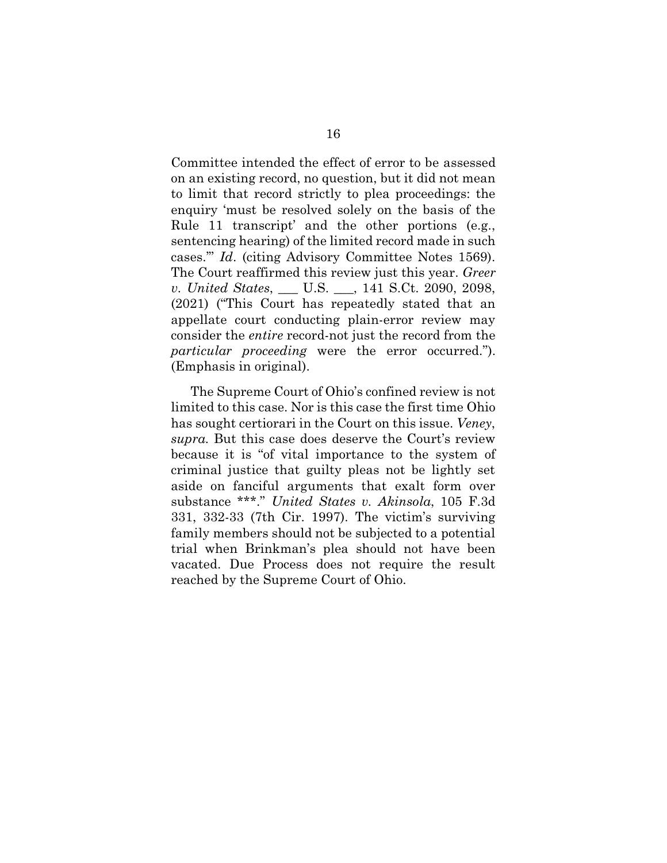Committee intended the effect of error to be assessed on an existing record, no question, but it did not mean to limit that record strictly to plea proceedings: the enquiry 'must be resolved solely on the basis of the Rule 11 transcript' and the other portions (e.g., sentencing hearing) of the limited record made in such cases.'" *Id*. (citing Advisory Committee Notes 1569). The Court reaffirmed this review just this year. *Greer v. United States*, \_\_\_ U.S. \_\_\_, 141 S.Ct. 2090, 2098, (2021) ("This Court has repeatedly stated that an appellate court conducting plain-error review may consider the *entire* record-not just the record from the *particular proceeding* were the error occurred."). (Emphasis in original).

The Supreme Court of Ohio's confined review is not limited to this case. Nor is this case the first time Ohio has sought certiorari in the Court on this issue. *Veney*, *supra.* But this case does deserve the Court's review because it is "of vital importance to the system of criminal justice that guilty pleas not be lightly set aside on fanciful arguments that exalt form over substance \*\*\*." *United States v. Akinsola*, 105 F.3d 331, 332-33 (7th Cir. 1997). The victim's surviving family members should not be subjected to a potential trial when Brinkman's plea should not have been vacated. Due Process does not require the result reached by the Supreme Court of Ohio.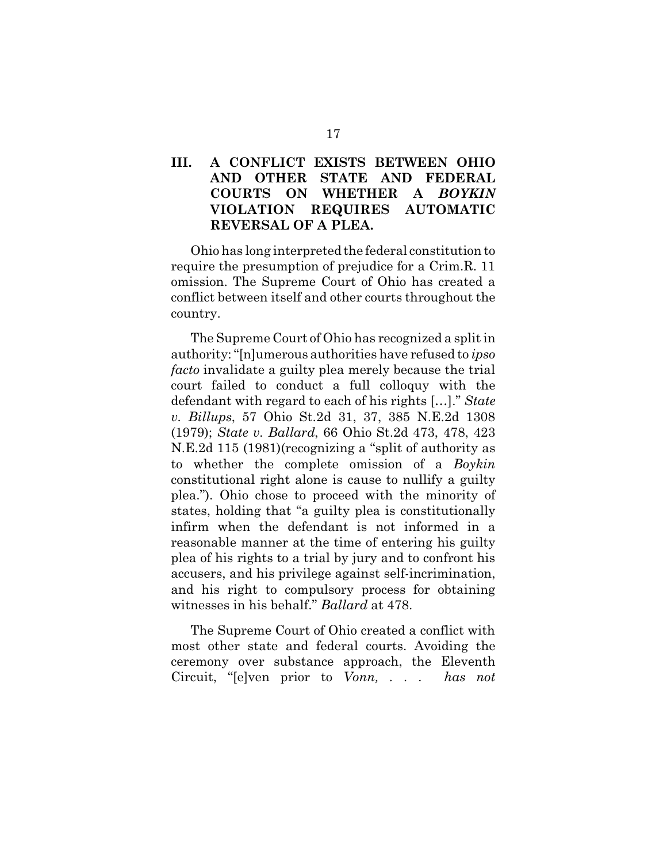### **III. A CONFLICT EXISTS BETWEEN OHIO AND OTHER STATE AND FEDERAL COURTS ON WHETHER A** *BOYKIN* **VIOLATION REQUIRES AUTOMATIC REVERSAL OF A PLEA.**

Ohio has long interpreted the federal constitution to require the presumption of prejudice for a Crim.R. 11 omission. The Supreme Court of Ohio has created a conflict between itself and other courts throughout the country.

The Supreme Court of Ohio has recognized a split in authority: "[n]umerous authorities have refused to *ipso facto* invalidate a guilty plea merely because the trial court failed to conduct a full colloquy with the defendant with regard to each of his rights […]." *State v. Billups*, 57 Ohio St.2d 31, 37, 385 N.E.2d 1308 (1979); *State v. Ballard*, 66 Ohio St.2d 473, 478, 423 N.E.2d 115 (1981)(recognizing a "split of authority as to whether the complete omission of a *Boykin* constitutional right alone is cause to nullify a guilty plea."). Ohio chose to proceed with the minority of states, holding that "a guilty plea is constitutionally infirm when the defendant is not informed in a reasonable manner at the time of entering his guilty plea of his rights to a trial by jury and to confront his accusers, and his privilege against self-incrimination, and his right to compulsory process for obtaining witnesses in his behalf." *Ballard* at 478.

The Supreme Court of Ohio created a conflict with most other state and federal courts. Avoiding the ceremony over substance approach, the Eleventh Circuit, "[e]ven prior to *Vonn, . . . has not*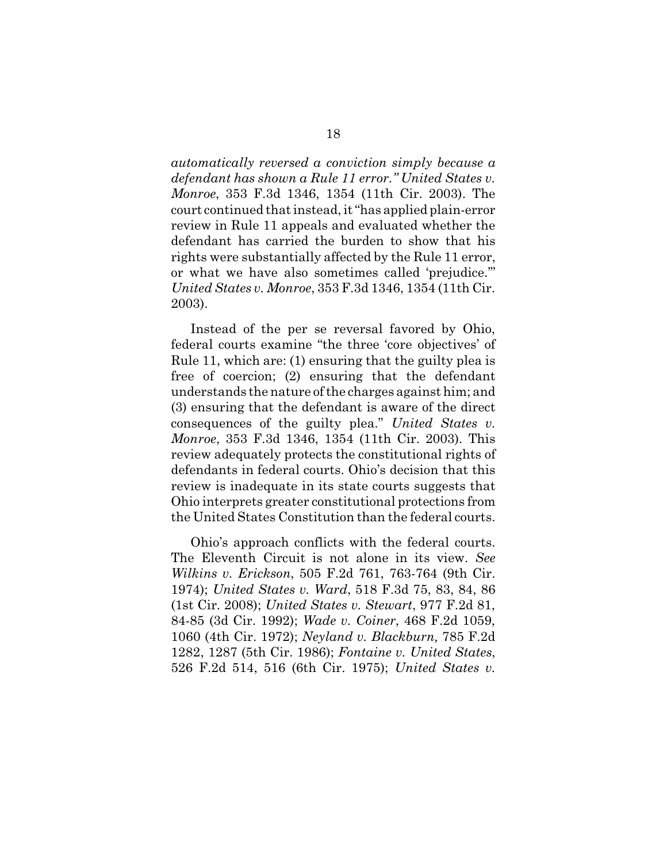*automatically reversed a conviction simply because a defendant has shown a Rule 11 error." United States v. Monroe*, 353 F.3d 1346, 1354 (11th Cir. 2003). The court continued that instead, it "has applied plain-error review in Rule 11 appeals and evaluated whether the defendant has carried the burden to show that his rights were substantially affected by the Rule 11 error, or what we have also sometimes called 'prejudice.'" *United States v. Monroe*, 353 F.3d 1346, 1354 (11th Cir. 2003).

Instead of the per se reversal favored by Ohio, federal courts examine "the three 'core objectives' of Rule 11, which are: (1) ensuring that the guilty plea is free of coercion; (2) ensuring that the defendant understands the nature of the charges against him; and (3) ensuring that the defendant is aware of the direct consequences of the guilty plea." *United States v. Monroe*, 353 F.3d 1346, 1354 (11th Cir. 2003). This review adequately protects the constitutional rights of defendants in federal courts. Ohio's decision that this review is inadequate in its state courts suggests that Ohio interprets greater constitutional protections from the United States Constitution than the federal courts.

Ohio's approach conflicts with the federal courts. The Eleventh Circuit is not alone in its view. *See Wilkins v. Erickson*, 505 F.2d 761, 763-764 (9th Cir. 1974); *United States v. Ward*, 518 F.3d 75, 83, 84, 86 (1st Cir. 2008); *United States v. Stewart*, 977 F.2d 81, 84-85 (3d Cir. 1992); *Wade v. Coiner*, 468 F.2d 1059, 1060 (4th Cir. 1972); *Neyland v. Blackburn,* 785 F.2d 1282, 1287 (5th Cir. 1986); *Fontaine v. United States*, 526 F.2d 514, 516 (6th Cir. 1975); *United States v.*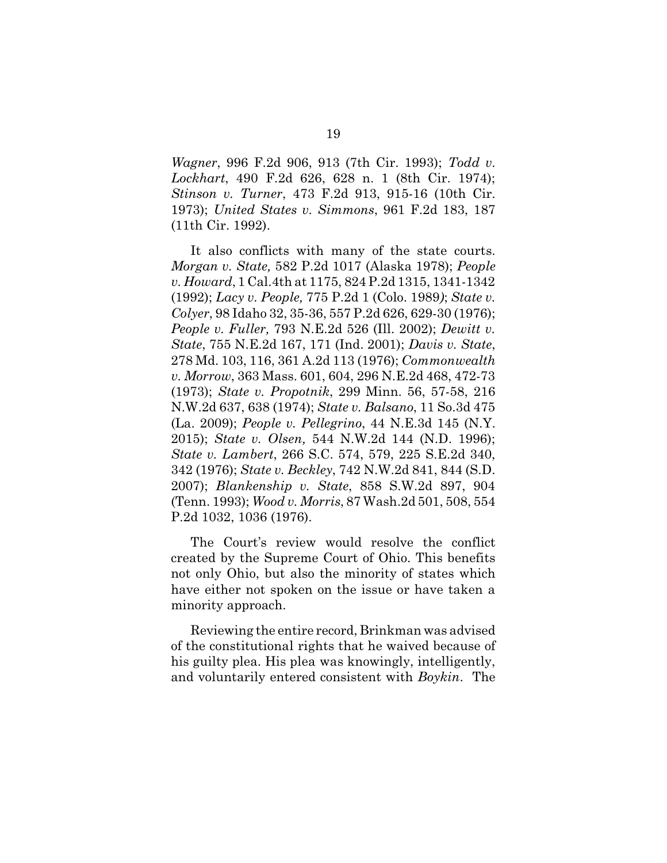*Wagner*, 996 F.2d 906, 913 (7th Cir. 1993); *Todd v. Lockhart*, 490 F.2d 626, 628 n. 1 (8th Cir. 1974); *Stinson v. Turner*, 473 F.2d 913, 915-16 (10th Cir. 1973); *United States v. Simmons*, 961 F.2d 183, 187 (11th Cir. 1992).

It also conflicts with many of the state courts. *Morgan v. State,* 582 P.2d 1017 (Alaska 1978); *People v. Howard*, 1 Cal.4th at 1175, 824 P.2d 1315, 1341-1342 (1992); *Lacy v. People,* 775 P.2d 1 (Colo. 1989*)*; *State v. Colyer*, 98 Idaho 32, 35-36, 557 P.2d 626, 629-30 (1976); *People v. Fuller,* 793 N.E.2d 526 (Ill. 2002); *Dewitt v. State*, 755 N.E.2d 167, 171 (Ind. 2001); *Davis v. State*, 278 Md. 103, 116, 361 A.2d 113 (1976); *Commonwealth v. Morrow*, 363 Mass. 601, 604, 296 N.E.2d 468, 472-73 (1973); *State v. Propotnik*, 299 Minn. 56, 57-58, 216 N.W.2d 637, 638 (1974); *State v. Balsano*, 11 So.3d 475 (La. 2009); *People v. Pellegrino*, 44 N.E.3d 145 (N.Y. 2015); *State v. Olsen,* 544 N.W.2d 144 (N.D. 1996); *State v. Lambert*, 266 S.C. 574, 579, 225 S.E.2d 340, 342 (1976); *State v. Beckley*, 742 N.W.2d 841, 844 (S.D. 2007); *Blankenship v. State*, 858 S.W.2d 897, 904 (Tenn. 1993); *Wood v. Morris*, 87 Wash.2d 501, 508, 554 P.2d 1032, 1036 (1976).

The Court's review would resolve the conflict created by the Supreme Court of Ohio. This benefits not only Ohio, but also the minority of states which have either not spoken on the issue or have taken a minority approach.

Reviewing the entire record, Brinkman was advised of the constitutional rights that he waived because of his guilty plea. His plea was knowingly, intelligently, and voluntarily entered consistent with *Boykin*. The